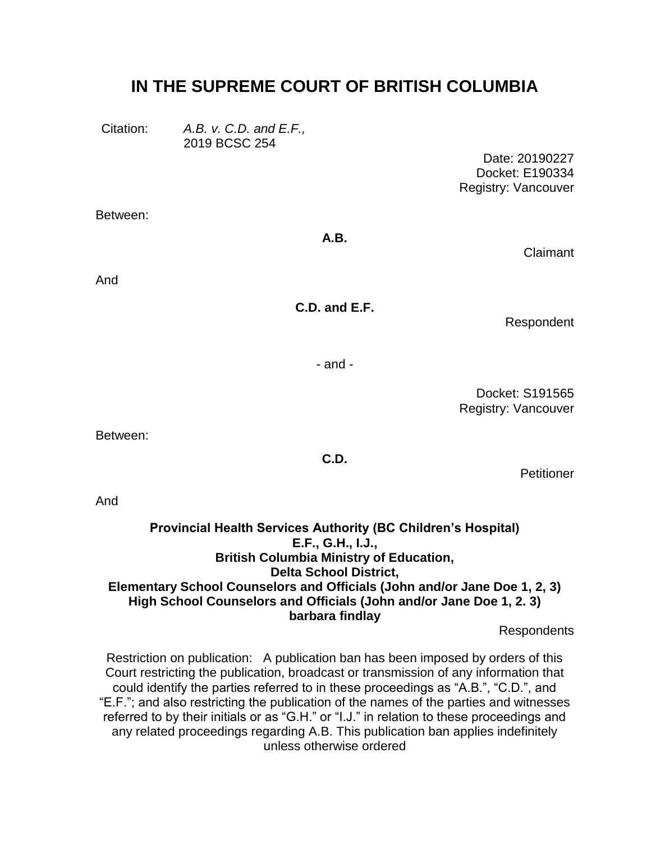# **IN THE SUPREME COURT OF BRITISH COLUMBIA**

Citation: *A.B. v. C.D. and E.F.,* 2019 BCSC 254

> Date: 20190227 Docket: E190334 Registry: Vancouver

Between:

**A.B.**

Claimant

And

**C.D. and E.F.**

Respondent

- and -

Docket: S191565 Registry: Vancouver

Between:

**C.D.**

Petitioner

And

#### **Provincial Health Services Authority (BC Children's Hospital) E.F., G.H., I.J., British Columbia Ministry of Education, Delta School District, Elementary School Counselors and Officials (John and/or Jane Doe 1, 2, 3) High School Counselors and Officials (John and/or Jane Doe 1, 2. 3) barbara findlay**

Respondents

Restriction on publication: A publication ban has been imposed by orders of this Court restricting the publication, broadcast or transmission of any information that could identify the parties referred to in these proceedings as "A.B.", "C.D.", and "E.F."; and also restricting the publication of the names of the parties and witnesses referred to by their initials or as "G.H." or "I.J." in relation to these proceedings and any related proceedings regarding A.B. This publication ban applies indefinitely unless otherwise ordered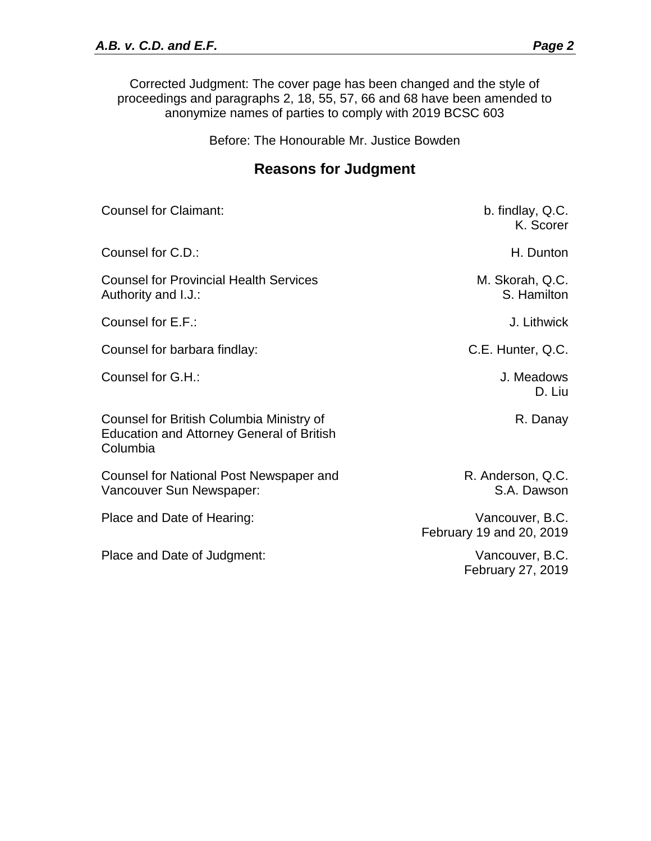Corrected Judgment: The cover page has been changed and the style of proceedings and paragraphs 2, 18, 55, 57, 66 and 68 have been amended to anonymize names of parties to comply with 2019 BCSC 603

Before: The Honourable Mr. Justice Bowden

# **Reasons for Judgment**

| <b>Counsel for Claimant:</b>                                                                             | b. findlay, Q.C.<br>K. Scorer               |
|----------------------------------------------------------------------------------------------------------|---------------------------------------------|
| Counsel for C.D.:                                                                                        | H. Dunton                                   |
| <b>Counsel for Provincial Health Services</b><br>Authority and I.J.:                                     | M. Skorah, Q.C.<br>S. Hamilton              |
| Counsel for E.F.:                                                                                        | J. Lithwick                                 |
| Counsel for barbara findlay:                                                                             | C.E. Hunter, Q.C.                           |
| Counsel for G.H.:                                                                                        | J. Meadows<br>D. Liu                        |
| Counsel for British Columbia Ministry of<br><b>Education and Attorney General of British</b><br>Columbia | R. Danay                                    |
| Counsel for National Post Newspaper and<br>Vancouver Sun Newspaper:                                      | R. Anderson, Q.C.<br>S.A. Dawson            |
| Place and Date of Hearing:                                                                               | Vancouver, B.C.<br>February 19 and 20, 2019 |
| Place and Date of Judgment:                                                                              | Vancouver, B.C.<br>February 27, 2019        |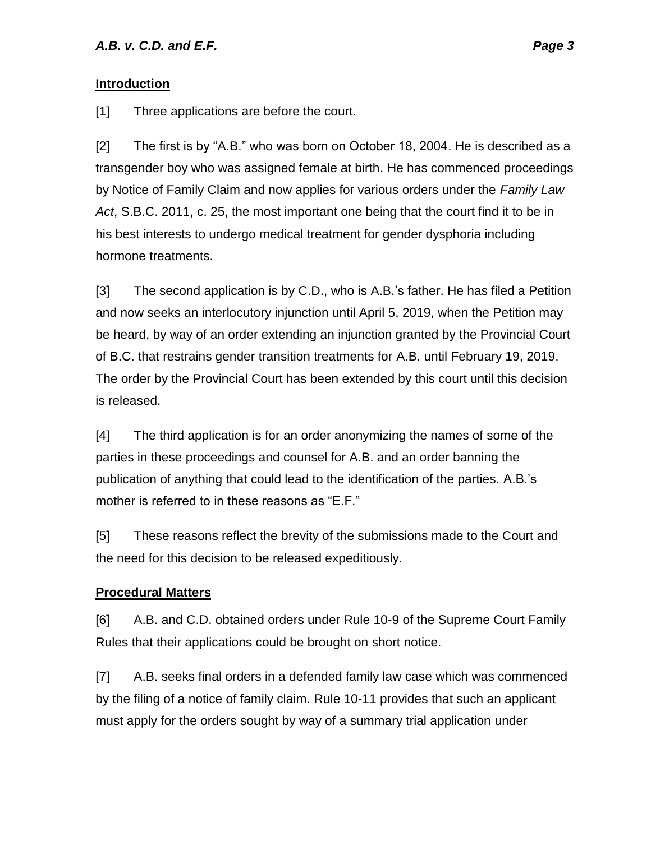#### **Introduction**

[1] Three applications are before the court.

[2] The first is by "A.B." who was born on October 18, 2004. He is described as a transgender boy who was assigned female at birth. He has commenced proceedings by Notice of Family Claim and now applies for various orders under the *Family Law Act*, S.B.C. 2011, c. 25, the most important one being that the court find it to be in his best interests to undergo medical treatment for gender dysphoria including hormone treatments.

[3] The second application is by C.D., who is A.B.'s father. He has filed a Petition and now seeks an interlocutory injunction until April 5, 2019, when the Petition may be heard, by way of an order extending an injunction granted by the Provincial Court of B.C. that restrains gender transition treatments for A.B. until February 19, 2019. The order by the Provincial Court has been extended by this court until this decision is released.

[4] The third application is for an order anonymizing the names of some of the parties in these proceedings and counsel for A.B. and an order banning the publication of anything that could lead to the identification of the parties. A.B.'s mother is referred to in these reasons as "E.F."

[5] These reasons reflect the brevity of the submissions made to the Court and the need for this decision to be released expeditiously.

## **Procedural Matters**

[6] A.B. and C.D. obtained orders under Rule 10-9 of the Supreme Court Family Rules that their applications could be brought on short notice.

[7] A.B. seeks final orders in a defended family law case which was commenced by the filing of a notice of family claim. Rule 10-11 provides that such an applicant must apply for the orders sought by way of a summary trial application under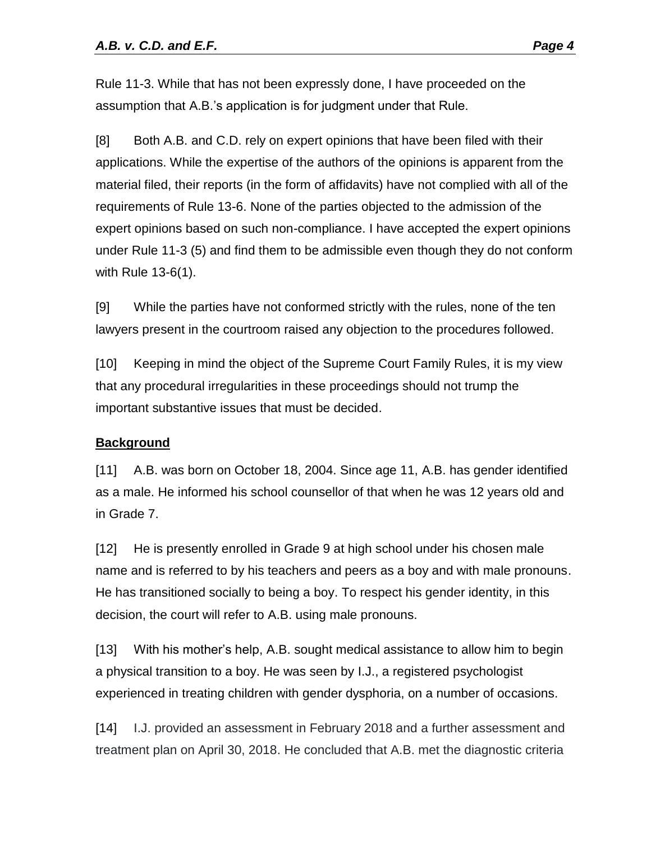Rule 11-3. While that has not been expressly done, I have proceeded on the assumption that A.B.'s application is for judgment under that Rule.

[8] Both A.B. and C.D. rely on expert opinions that have been filed with their applications. While the expertise of the authors of the opinions is apparent from the material filed, their reports (in the form of affidavits) have not complied with all of the requirements of Rule 13-6. None of the parties objected to the admission of the expert opinions based on such non-compliance. I have accepted the expert opinions under Rule 11-3 (5) and find them to be admissible even though they do not conform with Rule 13-6(1).

[9] While the parties have not conformed strictly with the rules, none of the ten lawyers present in the courtroom raised any objection to the procedures followed.

[10] Keeping in mind the object of the Supreme Court Family Rules, it is my view that any procedural irregularities in these proceedings should not trump the important substantive issues that must be decided.

## **Background**

[11] A.B. was born on October 18, 2004. Since age 11, A.B. has gender identified as a male. He informed his school counsellor of that when he was 12 years old and in Grade 7.

[12] He is presently enrolled in Grade 9 at high school under his chosen male name and is referred to by his teachers and peers as a boy and with male pronouns. He has transitioned socially to being a boy. To respect his gender identity, in this decision, the court will refer to A.B. using male pronouns.

[13] With his mother's help, A.B. sought medical assistance to allow him to begin a physical transition to a boy. He was seen by I.J., a registered psychologist experienced in treating children with gender dysphoria, on a number of occasions.

[14] I.J. provided an assessment in February 2018 and a further assessment and treatment plan on April 30, 2018. He concluded that A.B. met the diagnostic criteria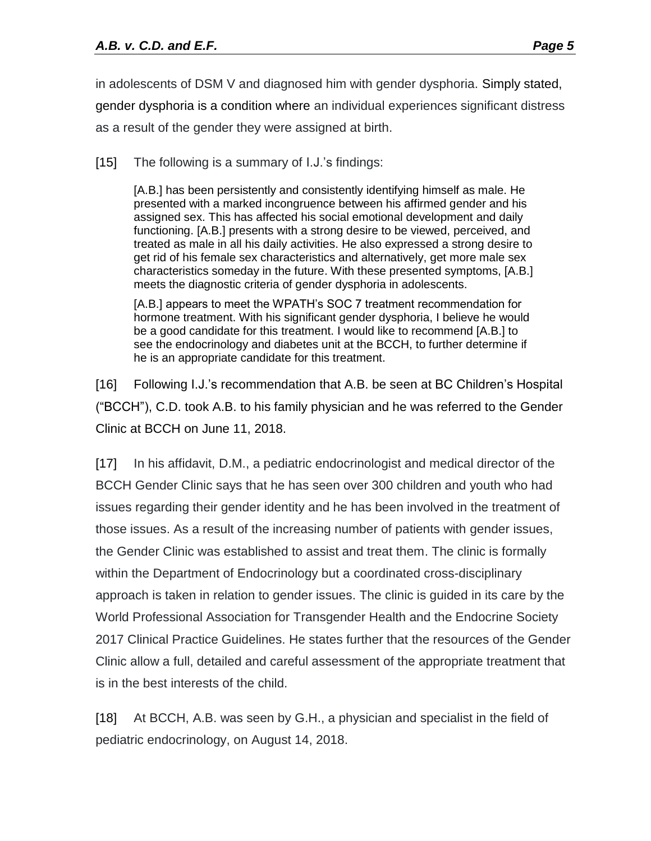in adolescents of DSM V and diagnosed him with gender dysphoria. Simply stated, gender dysphoria is a condition where an individual experiences significant distress as a result of the gender they were assigned at birth.

[15] The following is a summary of I.J.'s findings:

[A.B.] has been persistently and consistently identifying himself as male. He presented with a marked incongruence between his affirmed gender and his assigned sex. This has affected his social emotional development and daily functioning. [A.B.] presents with a strong desire to be viewed, perceived, and treated as male in all his daily activities. He also expressed a strong desire to get rid of his female sex characteristics and alternatively, get more male sex characteristics someday in the future. With these presented symptoms, [A.B.] meets the diagnostic criteria of gender dysphoria in adolescents.

[A.B.] appears to meet the WPATH's SOC 7 treatment recommendation for hormone treatment. With his significant gender dysphoria, I believe he would be a good candidate for this treatment. I would like to recommend [A.B.] to see the endocrinology and diabetes unit at the BCCH, to further determine if he is an appropriate candidate for this treatment.

[16] Following I.J.'s recommendation that A.B. be seen at BC Children's Hospital ("BCCH"), C.D. took A.B. to his family physician and he was referred to the Gender Clinic at BCCH on June 11, 2018.

[17] In his affidavit, D.M., a pediatric endocrinologist and medical director of the BCCH Gender Clinic says that he has seen over 300 children and youth who had issues regarding their gender identity and he has been involved in the treatment of those issues. As a result of the increasing number of patients with gender issues, the Gender Clinic was established to assist and treat them. The clinic is formally within the Department of Endocrinology but a coordinated cross-disciplinary approach is taken in relation to gender issues. The clinic is guided in its care by the World Professional Association for Transgender Health and the Endocrine Society 2017 Clinical Practice Guidelines. He states further that the resources of the Gender Clinic allow a full, detailed and careful assessment of the appropriate treatment that is in the best interests of the child.

[18] At BCCH, A.B. was seen by G.H., a physician and specialist in the field of pediatric endocrinology, on August 14, 2018.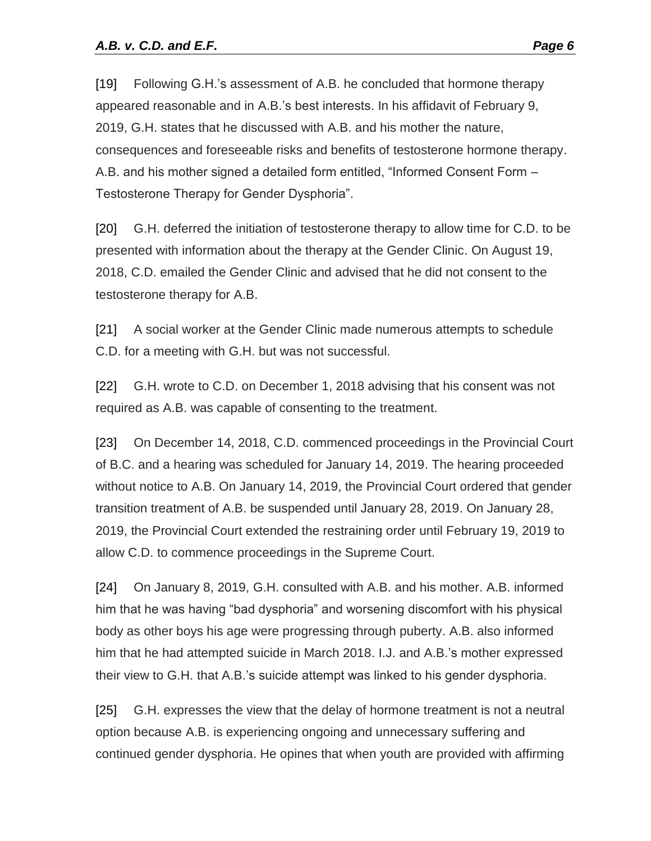[19] Following G.H.'s assessment of A.B. he concluded that hormone therapy appeared reasonable and in A.B.'s best interests. In his affidavit of February 9, 2019, G.H. states that he discussed with A.B. and his mother the nature, consequences and foreseeable risks and benefits of testosterone hormone therapy. A.B. and his mother signed a detailed form entitled, "Informed Consent Form – Testosterone Therapy for Gender Dysphoria".

[20] G.H. deferred the initiation of testosterone therapy to allow time for C.D. to be presented with information about the therapy at the Gender Clinic. On August 19, 2018, C.D. emailed the Gender Clinic and advised that he did not consent to the testosterone therapy for A.B.

[21] A social worker at the Gender Clinic made numerous attempts to schedule C.D. for a meeting with G.H. but was not successful.

[22] G.H. wrote to C.D. on December 1, 2018 advising that his consent was not required as A.B. was capable of consenting to the treatment.

[23] On December 14, 2018, C.D. commenced proceedings in the Provincial Court of B.C. and a hearing was scheduled for January 14, 2019. The hearing proceeded without notice to A.B. On January 14, 2019, the Provincial Court ordered that gender transition treatment of A.B. be suspended until January 28, 2019. On January 28, 2019, the Provincial Court extended the restraining order until February 19, 2019 to allow C.D. to commence proceedings in the Supreme Court.

[24] On January 8, 2019, G.H. consulted with A.B. and his mother. A.B. informed him that he was having "bad dysphoria" and worsening discomfort with his physical body as other boys his age were progressing through puberty. A.B. also informed him that he had attempted suicide in March 2018. I.J. and A.B.'s mother expressed their view to G.H. that A.B.'s suicide attempt was linked to his gender dysphoria.

[25] G.H. expresses the view that the delay of hormone treatment is not a neutral option because A.B. is experiencing ongoing and unnecessary suffering and continued gender dysphoria. He opines that when youth are provided with affirming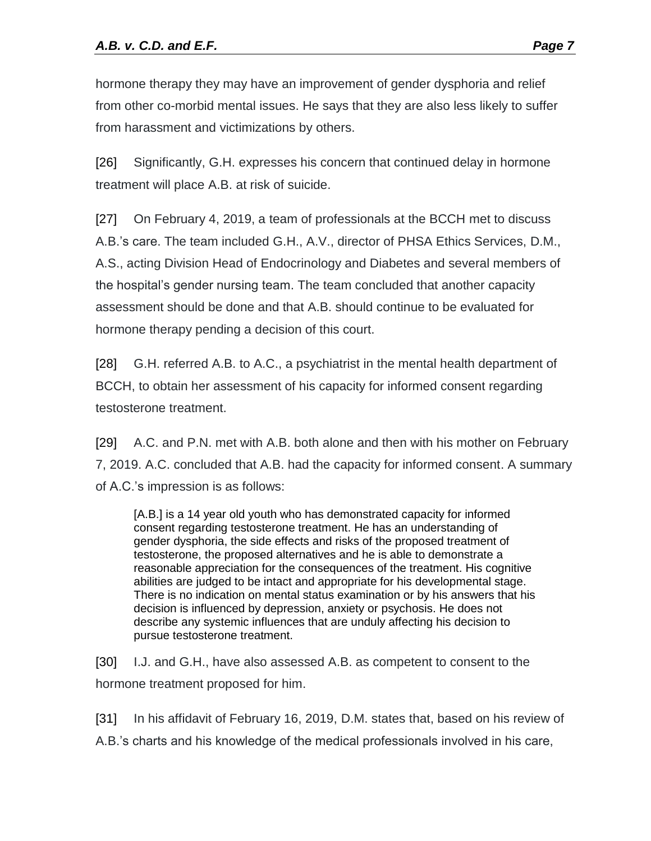hormone therapy they may have an improvement of gender dysphoria and relief from other co-morbid mental issues. He says that they are also less likely to suffer from harassment and victimizations by others.

[26] Significantly, G.H. expresses his concern that continued delay in hormone treatment will place A.B. at risk of suicide.

[27] On February 4, 2019, a team of professionals at the BCCH met to discuss A.B.'s care. The team included G.H., A.V., director of PHSA Ethics Services, D.M., A.S., acting Division Head of Endocrinology and Diabetes and several members of the hospital's gender nursing team. The team concluded that another capacity assessment should be done and that A.B. should continue to be evaluated for hormone therapy pending a decision of this court.

[28] G.H. referred A.B. to A.C., a psychiatrist in the mental health department of BCCH, to obtain her assessment of his capacity for informed consent regarding testosterone treatment.

[29] A.C. and P.N. met with A.B. both alone and then with his mother on February 7, 2019. A.C. concluded that A.B. had the capacity for informed consent. A summary of A.C.'s impression is as follows:

[A.B.] is a 14 year old youth who has demonstrated capacity for informed consent regarding testosterone treatment. He has an understanding of gender dysphoria, the side effects and risks of the proposed treatment of testosterone, the proposed alternatives and he is able to demonstrate a reasonable appreciation for the consequences of the treatment. His cognitive abilities are judged to be intact and appropriate for his developmental stage. There is no indication on mental status examination or by his answers that his decision is influenced by depression, anxiety or psychosis. He does not describe any systemic influences that are unduly affecting his decision to pursue testosterone treatment.

[30] I.J. and G.H., have also assessed A.B. as competent to consent to the hormone treatment proposed for him.

[31] In his affidavit of February 16, 2019, D.M. states that, based on his review of A.B.'s charts and his knowledge of the medical professionals involved in his care,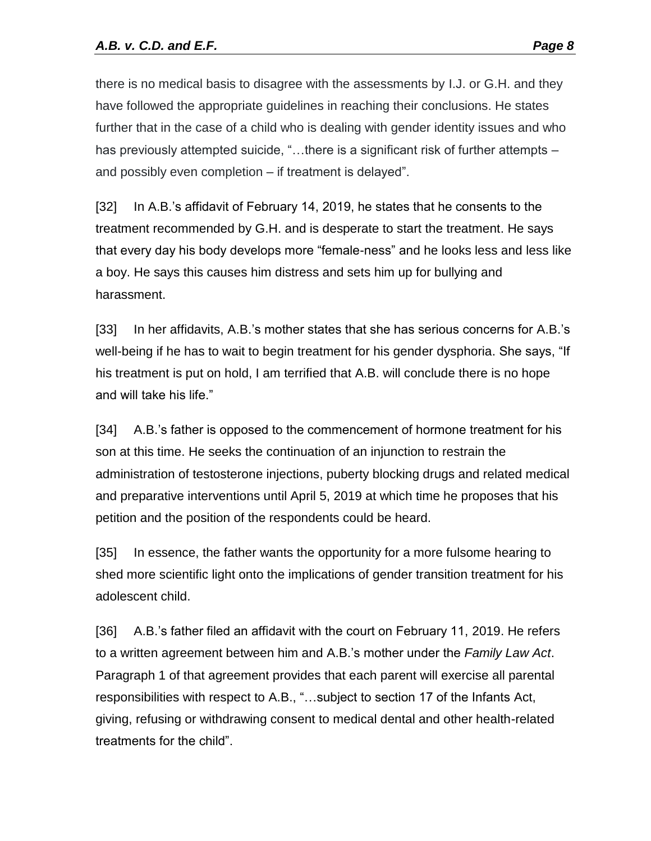there is no medical basis to disagree with the assessments by I.J. or G.H. and they have followed the appropriate guidelines in reaching their conclusions. He states further that in the case of a child who is dealing with gender identity issues and who has previously attempted suicide, "...there is a significant risk of further attempts – and possibly even completion – if treatment is delayed".

[32] In A.B.'s affidavit of February 14, 2019, he states that he consents to the treatment recommended by G.H. and is desperate to start the treatment. He says that every day his body develops more "female-ness" and he looks less and less like a boy. He says this causes him distress and sets him up for bullying and harassment.

[33] In her affidavits, A.B.'s mother states that she has serious concerns for A.B.'s well-being if he has to wait to begin treatment for his gender dysphoria. She says, "If his treatment is put on hold, I am terrified that A.B. will conclude there is no hope and will take his life."

[34] A.B.'s father is opposed to the commencement of hormone treatment for his son at this time. He seeks the continuation of an injunction to restrain the administration of testosterone injections, puberty blocking drugs and related medical and preparative interventions until April 5, 2019 at which time he proposes that his petition and the position of the respondents could be heard.

[35] In essence, the father wants the opportunity for a more fulsome hearing to shed more scientific light onto the implications of gender transition treatment for his adolescent child.

[36] A.B.'s father filed an affidavit with the court on February 11, 2019. He refers to a written agreement between him and A.B.'s mother under the *Family Law Act*. Paragraph 1 of that agreement provides that each parent will exercise all parental responsibilities with respect to A.B., "…subject to section 17 of the Infants Act, giving, refusing or withdrawing consent to medical dental and other health-related treatments for the child".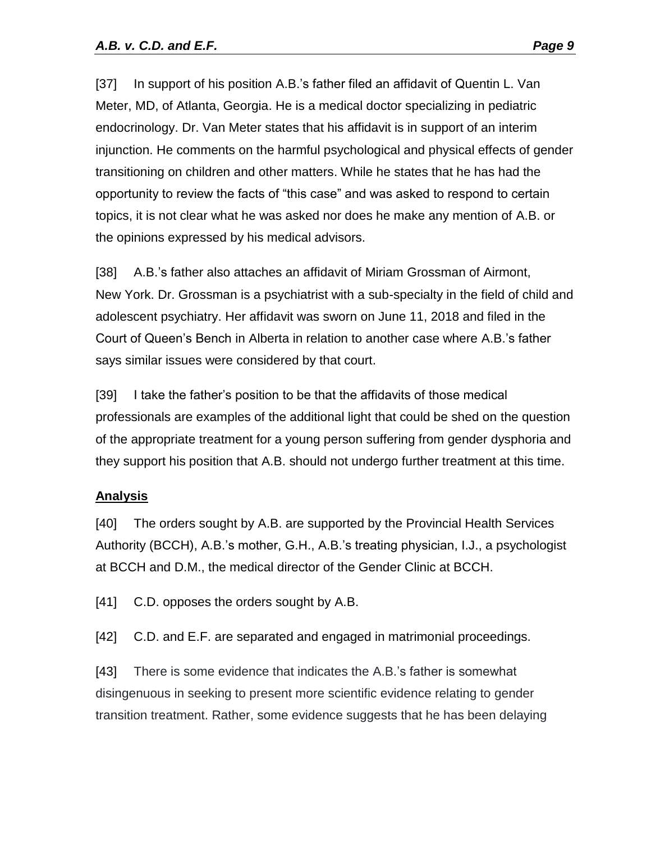[37] In support of his position A.B.'s father filed an affidavit of Quentin L. Van Meter, MD, of Atlanta, Georgia. He is a medical doctor specializing in pediatric endocrinology. Dr. Van Meter states that his affidavit is in support of an interim injunction. He comments on the harmful psychological and physical effects of gender transitioning on children and other matters. While he states that he has had the opportunity to review the facts of "this case" and was asked to respond to certain topics, it is not clear what he was asked nor does he make any mention of A.B. or the opinions expressed by his medical advisors.

[38] A.B.'s father also attaches an affidavit of Miriam Grossman of Airmont, New York. Dr. Grossman is a psychiatrist with a sub-specialty in the field of child and adolescent psychiatry. Her affidavit was sworn on June 11, 2018 and filed in the Court of Queen's Bench in Alberta in relation to another case where A.B.'s father says similar issues were considered by that court.

[39] I take the father's position to be that the affidavits of those medical professionals are examples of the additional light that could be shed on the question of the appropriate treatment for a young person suffering from gender dysphoria and they support his position that A.B. should not undergo further treatment at this time.

## **Analysis**

[40] The orders sought by A.B. are supported by the Provincial Health Services Authority (BCCH), A.B.'s mother, G.H., A.B.'s treating physician, I.J., a psychologist at BCCH and D.M., the medical director of the Gender Clinic at BCCH.

[41] C.D. opposes the orders sought by A.B.

[42] C.D. and E.F. are separated and engaged in matrimonial proceedings.

[43] There is some evidence that indicates the A.B.'s father is somewhat disingenuous in seeking to present more scientific evidence relating to gender transition treatment. Rather, some evidence suggests that he has been delaying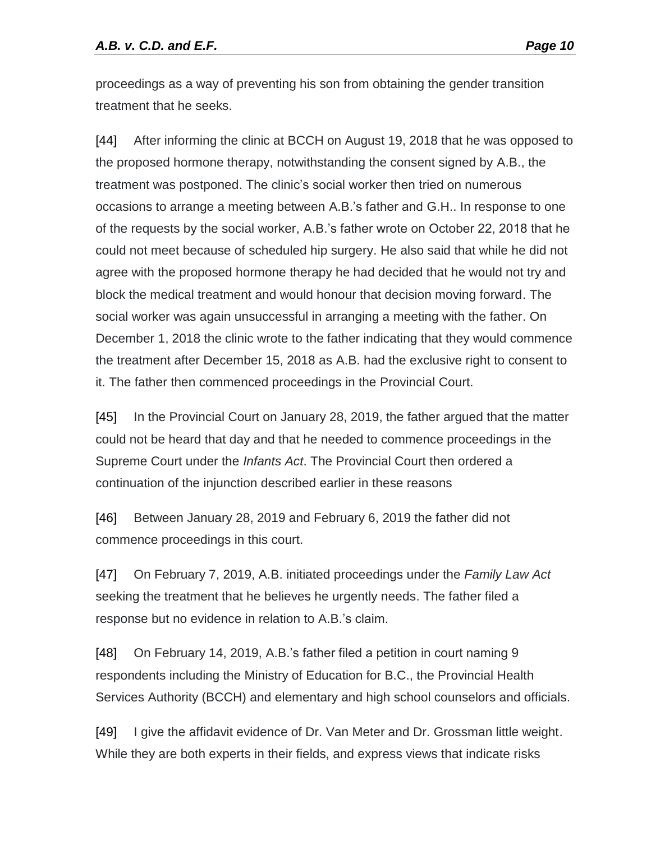proceedings as a way of preventing his son from obtaining the gender transition treatment that he seeks.

[44] After informing the clinic at BCCH on August 19, 2018 that he was opposed to the proposed hormone therapy, notwithstanding the consent signed by A.B., the treatment was postponed. The clinic's social worker then tried on numerous occasions to arrange a meeting between A.B.'s father and G.H.. In response to one of the requests by the social worker, A.B.'s father wrote on October 22, 2018 that he could not meet because of scheduled hip surgery. He also said that while he did not agree with the proposed hormone therapy he had decided that he would not try and block the medical treatment and would honour that decision moving forward. The social worker was again unsuccessful in arranging a meeting with the father. On December 1, 2018 the clinic wrote to the father indicating that they would commence the treatment after December 15, 2018 as A.B. had the exclusive right to consent to it. The father then commenced proceedings in the Provincial Court.

[45] In the Provincial Court on January 28, 2019, the father argued that the matter could not be heard that day and that he needed to commence proceedings in the Supreme Court under the *Infants Act*. The Provincial Court then ordered a continuation of the injunction described earlier in these reasons

[46] Between January 28, 2019 and February 6, 2019 the father did not commence proceedings in this court.

[47] On February 7, 2019, A.B. initiated proceedings under the *Family Law Act* seeking the treatment that he believes he urgently needs. The father filed a response but no evidence in relation to A.B.'s claim.

[48] On February 14, 2019, A.B.'s father filed a petition in court naming 9 respondents including the Ministry of Education for B.C., the Provincial Health Services Authority (BCCH) and elementary and high school counselors and officials.

[49] I give the affidavit evidence of Dr. Van Meter and Dr. Grossman little weight. While they are both experts in their fields, and express views that indicate risks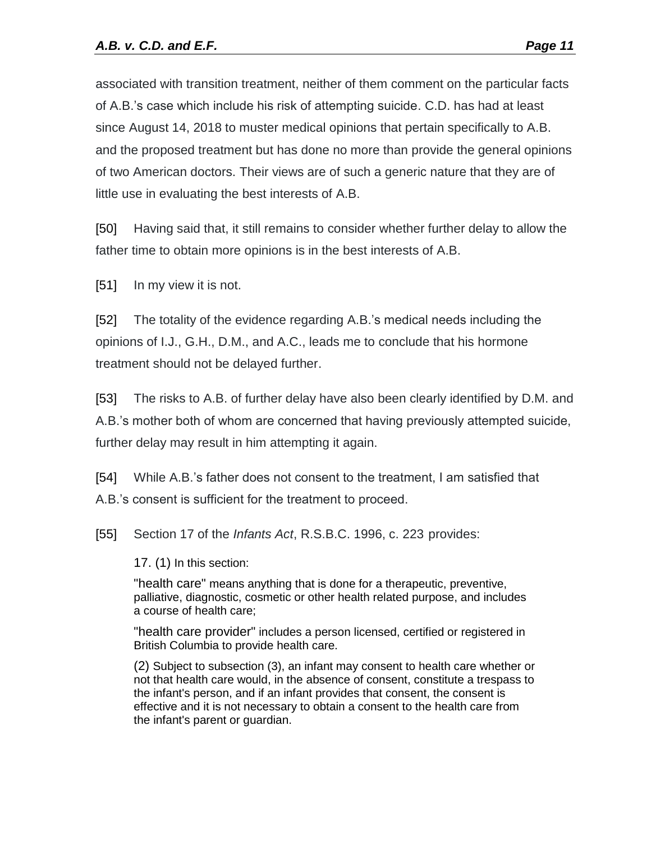associated with transition treatment, neither of them comment on the particular facts of A.B.'s case which include his risk of attempting suicide. C.D. has had at least since August 14, 2018 to muster medical opinions that pertain specifically to A.B. and the proposed treatment but has done no more than provide the general opinions of two American doctors. Their views are of such a generic nature that they are of little use in evaluating the best interests of A.B.

[50] Having said that, it still remains to consider whether further delay to allow the father time to obtain more opinions is in the best interests of A.B.

[51] In my view it is not.

[52] The totality of the evidence regarding A.B.'s medical needs including the opinions of I.J., G.H., D.M., and A.C., leads me to conclude that his hormone treatment should not be delayed further.

[53] The risks to A.B. of further delay have also been clearly identified by D.M. and A.B.'s mother both of whom are concerned that having previously attempted suicide, further delay may result in him attempting it again.

[54] While A.B.'s father does not consent to the treatment, I am satisfied that A.B.'s consent is sufficient for the treatment to proceed.

[55] Section 17 of the *Infants Act*, R.S.B.C. 1996, c. 223 provides:

17. (1) In this section:

"health care" means anything that is done for a therapeutic, preventive, palliative, diagnostic, cosmetic or other health related purpose, and includes a course of health care;

"health care provider" includes a person licensed, certified or registered in British Columbia to provide health care.

(2) Subject to subsection (3), an infant may consent to health care whether or not that health care would, in the absence of consent, constitute a trespass to the infant's person, and if an infant provides that consent, the consent is effective and it is not necessary to obtain a consent to the health care from the infant's parent or guardian.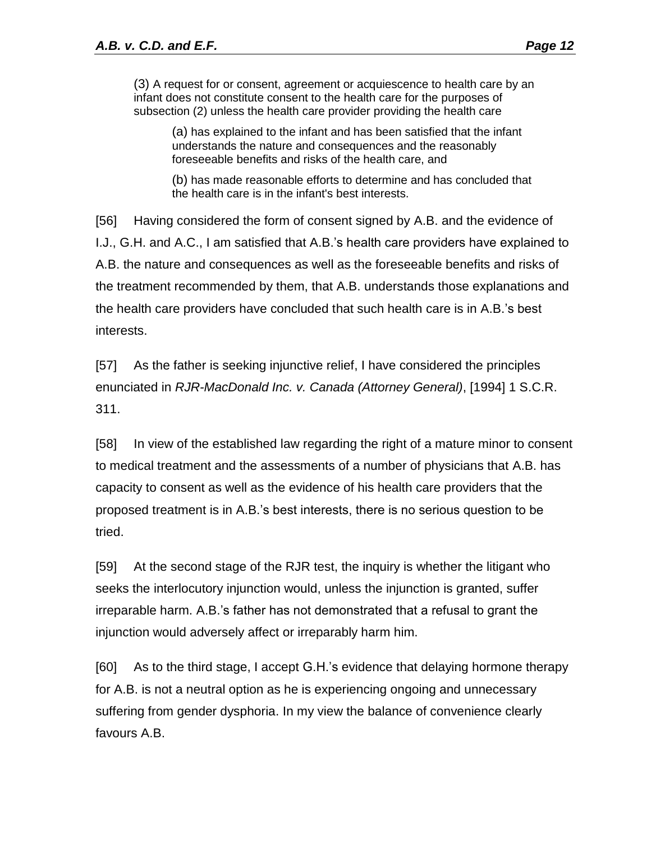(3) A request for or consent, agreement or acquiescence to health care by an infant does not constitute consent to the health care for the purposes of subsection (2) unless the health care provider providing the health care

(a) has explained to the infant and has been satisfied that the infant understands the nature and consequences and the reasonably foreseeable benefits and risks of the health care, and

(b) has made reasonable efforts to determine and has concluded that the health care is in the infant's best interests.

[56] Having considered the form of consent signed by A.B. and the evidence of I.J., G.H. and A.C., I am satisfied that A.B.'s health care providers have explained to A.B. the nature and consequences as well as the foreseeable benefits and risks of the treatment recommended by them, that A.B. understands those explanations and the health care providers have concluded that such health care is in A.B.'s best interests.

[57] As the father is seeking injunctive relief, I have considered the principles enunciated in *RJR-MacDonald Inc. v. Canada (Attorney General)*, [1994] 1 S.C.R. 311.

[58] In view of the established law regarding the right of a mature minor to consent to medical treatment and the assessments of a number of physicians that A.B. has capacity to consent as well as the evidence of his health care providers that the proposed treatment is in A.B.'s best interests, there is no serious question to be tried.

[59] At the second stage of the RJR test, the inquiry is whether the litigant who seeks the interlocutory injunction would, unless the injunction is granted, suffer irreparable harm. A.B.'s father has not demonstrated that a refusal to grant the injunction would adversely affect or irreparably harm him.

[60] As to the third stage, I accept G.H.'s evidence that delaying hormone therapy for A.B. is not a neutral option as he is experiencing ongoing and unnecessary suffering from gender dysphoria. In my view the balance of convenience clearly favours A.B.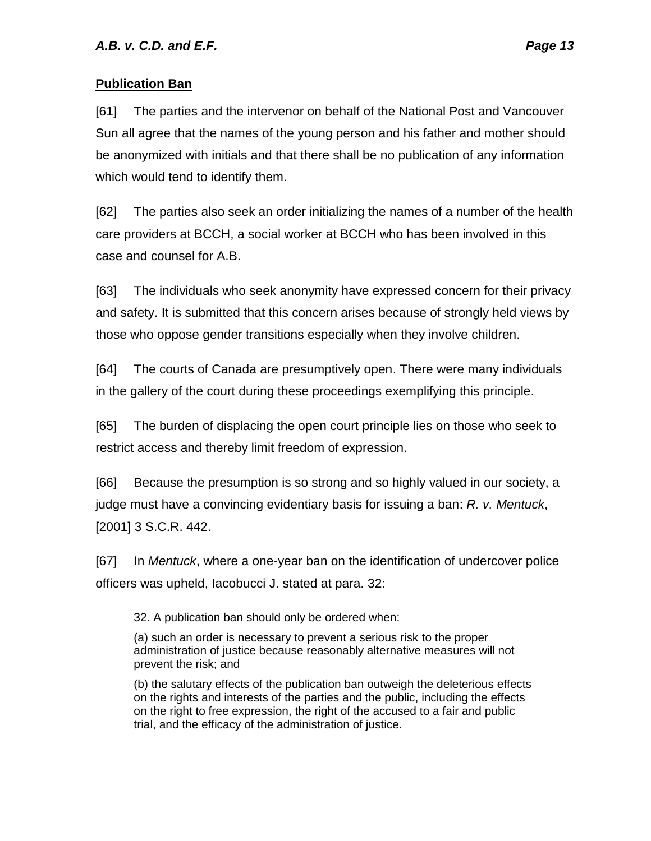## **Publication Ban**

[61] The parties and the intervenor on behalf of the National Post and Vancouver Sun all agree that the names of the young person and his father and mother should be anonymized with initials and that there shall be no publication of any information which would tend to identify them.

[62] The parties also seek an order initializing the names of a number of the health care providers at BCCH, a social worker at BCCH who has been involved in this case and counsel for A.B.

[63] The individuals who seek anonymity have expressed concern for their privacy and safety. It is submitted that this concern arises because of strongly held views by those who oppose gender transitions especially when they involve children.

[64] The courts of Canada are presumptively open. There were many individuals in the gallery of the court during these proceedings exemplifying this principle.

[65] The burden of displacing the open court principle lies on those who seek to restrict access and thereby limit freedom of expression.

[66] Because the presumption is so strong and so highly valued in our society, a judge must have a convincing evidentiary basis for issuing a ban: *R. v. Mentuck*, [2001] 3 S.C.R. 442.

[67] In *Mentuck*, where a one-year ban on the identification of undercover police officers was upheld, Iacobucci J. stated at para. 32:

32. A publication ban should only be ordered when:

(a) such an order is necessary to prevent a serious risk to the proper administration of justice because reasonably alternative measures will not prevent the risk; and

(b) the salutary effects of the publication ban outweigh the deleterious effects on the rights and interests of the parties and the public, including the effects on the right to free expression, the right of the accused to a fair and public trial, and the efficacy of the administration of justice.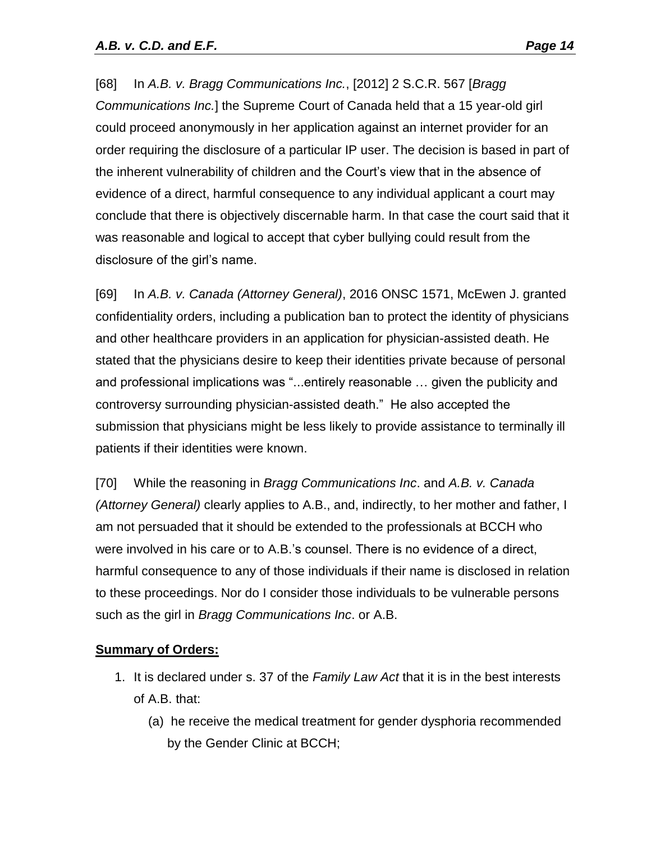[68] In *A.B. v. Bragg Communications Inc.*, [2012] 2 S.C.R. 567 [*Bragg Communications Inc.*] the Supreme Court of Canada held that a 15 year-old girl could proceed anonymously in her application against an internet provider for an order requiring the disclosure of a particular IP user. The decision is based in part of the inherent vulnerability of children and the Court's view that in the absence of evidence of a direct, harmful consequence to any individual applicant a court may conclude that there is objectively discernable harm. In that case the court said that it was reasonable and logical to accept that cyber bullying could result from the disclosure of the girl's name.

[69] In *A.B. v. Canada (Attorney General)*, 2016 ONSC 1571, McEwen J. granted confidentiality orders, including a publication ban to protect the identity of physicians and other healthcare providers in an application for physician-assisted death. He stated that the physicians desire to keep their identities private because of personal and professional implications was "...entirely reasonable … given the publicity and controversy surrounding physician-assisted death." He also accepted the submission that physicians might be less likely to provide assistance to terminally ill patients if their identities were known.

[70] While the reasoning in *Bragg Communications Inc*. and *A.B. v. Canada (Attorney General)* clearly applies to A.B., and, indirectly, to her mother and father, I am not persuaded that it should be extended to the professionals at BCCH who were involved in his care or to A.B.'s counsel. There is no evidence of a direct, harmful consequence to any of those individuals if their name is disclosed in relation to these proceedings. Nor do I consider those individuals to be vulnerable persons such as the girl in *Bragg Communications Inc*. or A.B.

## **Summary of Orders:**

- 1. It is declared under s. 37 of the *Family Law Act* that it is in the best interests of A.B. that:
	- (a) he receive the medical treatment for gender dysphoria recommended by the Gender Clinic at BCCH;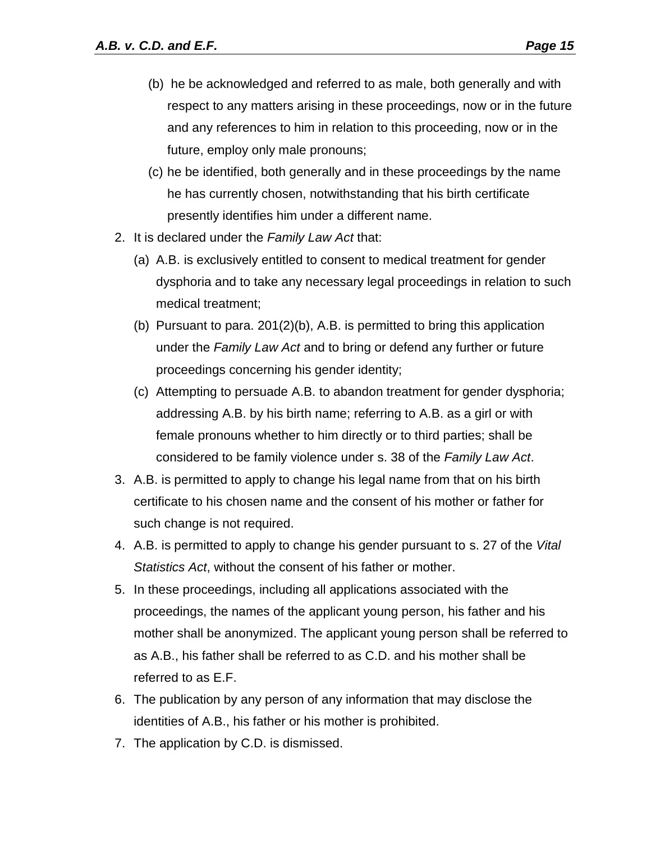- (b) he be acknowledged and referred to as male, both generally and with respect to any matters arising in these proceedings, now or in the future and any references to him in relation to this proceeding, now or in the future, employ only male pronouns;
- (c) he be identified, both generally and in these proceedings by the name he has currently chosen, notwithstanding that his birth certificate presently identifies him under a different name.
- 2. It is declared under the *Family Law Act* that:
	- (a) A.B. is exclusively entitled to consent to medical treatment for gender dysphoria and to take any necessary legal proceedings in relation to such medical treatment;
	- (b) Pursuant to para. 201(2)(b), A.B. is permitted to bring this application under the *Family Law Act* and to bring or defend any further or future proceedings concerning his gender identity;
	- (c) Attempting to persuade A.B. to abandon treatment for gender dysphoria; addressing A.B. by his birth name; referring to A.B. as a girl or with female pronouns whether to him directly or to third parties; shall be considered to be family violence under s. 38 of the *Family Law Act*.
- 3. A.B. is permitted to apply to change his legal name from that on his birth certificate to his chosen name and the consent of his mother or father for such change is not required.
- 4. A.B. is permitted to apply to change his gender pursuant to s. 27 of the *Vital Statistics Act*, without the consent of his father or mother.
- 5. In these proceedings, including all applications associated with the proceedings, the names of the applicant young person, his father and his mother shall be anonymized. The applicant young person shall be referred to as A.B., his father shall be referred to as C.D. and his mother shall be referred to as E.F.
- 6. The publication by any person of any information that may disclose the identities of A.B., his father or his mother is prohibited.
- 7. The application by C.D. is dismissed.